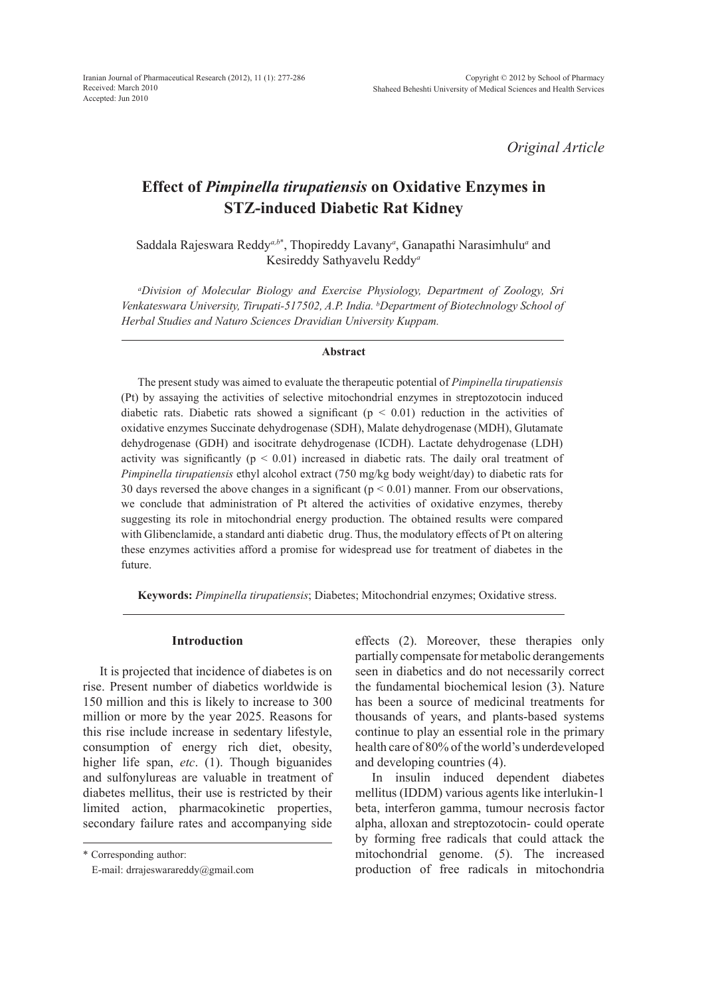*Original Article*

# **Effect of** *Pimpinella tirupatiensis* **on Oxidative Enzymes in STZ-induced Diabetic Rat Kidney**

Saddala Rajeswara Reddy<sup>*a,b*\*</sup>, Thopireddy Lavany<sup>*a*</sup>, Ganapathi Narasimhulu<sup>*a*</sup> and Kesireddy Sathyavelu Reddy*<sup>a</sup>*

*a Division of Molecular Biology and Exercise Physiology, Department of Zoology, Sri Venkateswara University, Tirupati-517502, A.P. India. b Department of Biotechnology School of Herbal Studies and Naturo Sciences Dravidian University Kuppam.*

#### **Abstract**

The present study was aimed to evaluate the therapeutic potential of *Pimpinella tirupatiensis*  (Pt) by assaying the activities of selective mitochondrial enzymes in streptozotocin induced diabetic rats. Diabetic rats showed a significant ( $p < 0.01$ ) reduction in the activities of oxidative enzymes Succinate dehydrogenase (SDH), Malate dehydrogenase (MDH), Glutamate dehydrogenase (GDH) and isocitrate dehydrogenase (ICDH). Lactate dehydrogenase (LDH) activity was significantly ( $p < 0.01$ ) increased in diabetic rats. The daily oral treatment of *Pimpinella tirupatiensis* ethyl alcohol extract (750 mg/kg body weight/day) to diabetic rats for 30 days reversed the above changes in a significant ( $p < 0.01$ ) manner. From our observations, we conclude that administration of Pt altered the activities of oxidative enzymes, thereby suggesting its role in mitochondrial energy production. The obtained results were compared with Glibenclamide, a standard anti diabetic drug. Thus, the modulatory effects of Pt on altering these enzymes activities afford a promise for widespread use for treatment of diabetes in the future.

**Keywords:** *Pimpinella tirupatiensis*; Diabetes; Mitochondrial enzymes; Oxidative stress.

## **Introduction**

It is projected that incidence of diabetes is on rise. Present number of diabetics worldwide is 150 million and this is likely to increase to 300 million or more by the year 2025. Reasons for this rise include increase in sedentary lifestyle, consumption of energy rich diet, obesity, higher life span, *etc*. (1). Though biguanides and sulfonylureas are valuable in treatment of diabetes mellitus, their use is restricted by their limited action, pharmacokinetic properties, secondary failure rates and accompanying side

\* Corresponding author:

E-mail: drrajeswarareddy@gmail.com

effects (2). Moreover, these therapies only partially compensate for metabolic derangements seen in diabetics and do not necessarily correct the fundamental biochemical lesion (3). Nature has been a source of medicinal treatments for thousands of years, and plants-based systems continue to play an essential role in the primary health care of 80% of the world's underdeveloped and developing countries (4).

In insulin induced dependent diabetes mellitus (IDDM) various agents like interlukin-1 beta, interferon gamma, tumour necrosis factor alpha, alloxan and streptozotocin- could operate by forming free radicals that could attack the mitochondrial genome. (5). The increased production of free radicals in mitochondria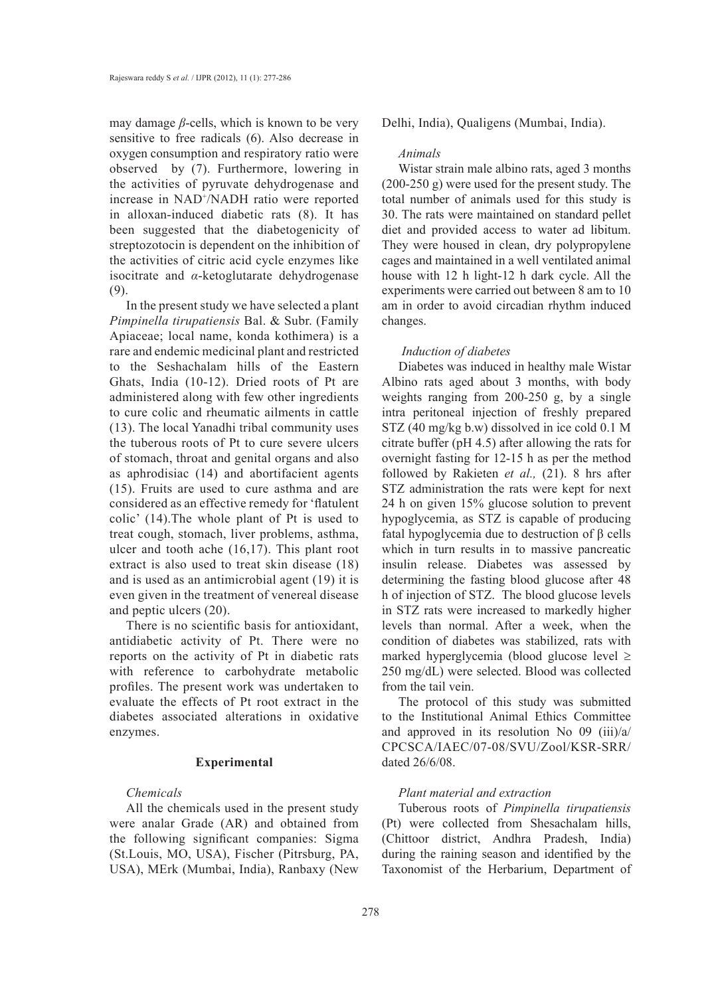may damage *β*-cells, which is known to be very sensitive to free radicals (6). Also decrease in oxygen consumption and respiratory ratio were observed by (7). Furthermore, lowering in the activities of pyruvate dehydrogenase and increase in NAD+/NADH ratio were reported in alloxan-induced diabetic rats (8). It has been suggested that the diabetogenicity of streptozotocin is dependent on the inhibition of the activities of citric acid cycle enzymes like isocitrate and *α*-ketoglutarate dehydrogenase (9).

In the present study we have selected a plant *Pimpinella tirupatiensis* Bal. & Subr. (Family Apiaceae; local name, konda kothimera) is a rare and endemic medicinal plant and restricted to the Seshachalam hills of the Eastern Ghats, India (10-12). Dried roots of Pt are administered along with few other ingredients to cure colic and rheumatic ailments in cattle (13). The local Yanadhi tribal community uses the tuberous roots of Pt to cure severe ulcers of stomach, throat and genital organs and also as aphrodisiac (14) and abortifacient agents (15). Fruits are used to cure asthma and are considered as an effective remedy for 'flatulent colic' (14).The whole plant of Pt is used to treat cough, stomach, liver problems, asthma, ulcer and tooth ache (16,17). This plant root extract is also used to treat skin disease (18) and is used as an antimicrobial agent (19) it is even given in the treatment of venereal disease and peptic ulcers (20).

There is no scientific basis for antioxidant, antidiabetic activity of Pt. There were no reports on the activity of Pt in diabetic rats with reference to carbohydrate metabolic profiles. The present work was undertaken to evaluate the effects of Pt root extract in the diabetes associated alterations in oxidative enzymes.

## **Experimental**

## *Chemicals*

All the chemicals used in the present study were analar Grade (AR) and obtained from the following significant companies: Sigma (St.Louis, MO, USA), Fischer (Pitrsburg, PA, USA), MErk (Mumbai, India), Ranbaxy (New

Delhi, India), Qualigens (Mumbai, India).

#### *Animals*

Wistar strain male albino rats, aged 3 months (200-250 g) were used for the present study. The total number of animals used for this study is 30. The rats were maintained on standard pellet diet and provided access to water ad libitum. They were housed in clean, dry polypropylene cages and maintained in a well ventilated animal house with 12 h light-12 h dark cycle. All the experiments were carried out between 8 am to 10 am in order to avoid circadian rhythm induced changes.

#### *Induction of diabetes*

Diabetes was induced in healthy male Wistar Albino rats aged about 3 months, with body weights ranging from 200-250 g, by a single intra peritoneal injection of freshly prepared STZ (40 mg/kg b.w) dissolved in ice cold 0.1 M citrate buffer (pH 4.5) after allowing the rats for overnight fasting for 12-15 h as per the method followed by Rakieten *et al.,* (21). 8 hrs after STZ administration the rats were kept for next 24 h on given 15% glucose solution to prevent hypoglycemia, as STZ is capable of producing fatal hypoglycemia due to destruction of β cells which in turn results in to massive pancreatic insulin release. Diabetes was assessed by determining the fasting blood glucose after 48 h of injection of STZ. The blood glucose levels in STZ rats were increased to markedly higher levels than normal. After a week, when the condition of diabetes was stabilized, rats with marked hyperglycemia (blood glucose level ≥ 250 mg/dL) were selected. Blood was collected from the tail vein.

The protocol of this study was submitted to the Institutional Animal Ethics Committee and approved in its resolution No 09 (iii)/a/ CPCSCA/IAEC/07-08/SVU/Zool/KSR-SRR/ dated 26/6/08.

## *Plant material and extraction*

Tuberous roots of *Pimpinella tirupatiensis* (Pt) were collected from Shesachalam hills, (Chittoor district, Andhra Pradesh, India) during the raining season and identified by the Taxonomist of the Herbarium, Department of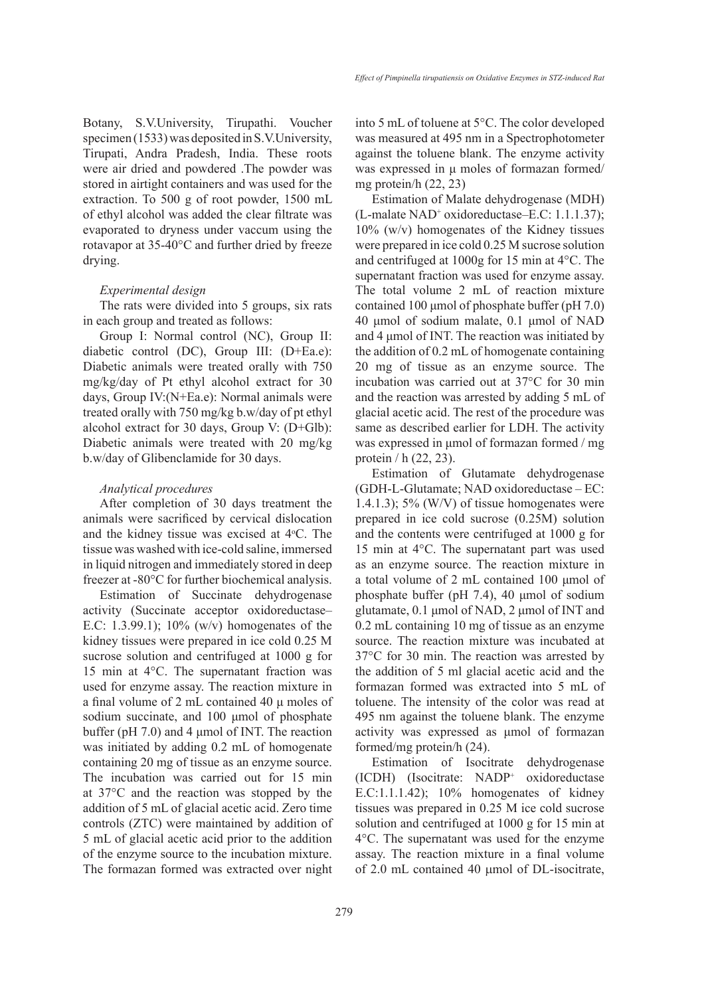Botany, S.V.University, Tirupathi. Voucher specimen (1533) was deposited in S.V.University, Tirupati, Andra Pradesh, India. These roots were air dried and powdered .The powder was stored in airtight containers and was used for the extraction. To 500 g of root powder, 1500 mL of ethyl alcohol was added the clear filtrate was evaporated to dryness under vaccum using the rotavapor at 35-40°C and further dried by freeze drying.

#### *Experimental design*

The rats were divided into 5 groups, six rats in each group and treated as follows:

Group I: Normal control (NC), Group II: diabetic control (DC), Group III: (D+Ea.e): Diabetic animals were treated orally with 750 mg/kg/day of Pt ethyl alcohol extract for 30 days, Group IV:(N+Ea.e): Normal animals were treated orally with 750 mg/kg b.w/day of pt ethyl alcohol extract for 30 days, Group V: (D+Glb): Diabetic animals were treated with 20 mg/kg b.w/day of Glibenclamide for 30 days.

#### *Analytical procedures*

After completion of 30 days treatment the animals were sacrificed by cervical dislocation and the kidney tissue was excised at 4°C. The tissue was washed with ice-cold saline, immersed in liquid nitrogen and immediately stored in deep freezer at -80°C for further biochemical analysis.

Estimation of Succinate dehydrogenase activity (Succinate acceptor oxidoreductase– E.C: 1.3.99.1); 10% (w/v) homogenates of the kidney tissues were prepared in ice cold 0.25 M sucrose solution and centrifuged at 1000 g for 15 min at 4°C. The supernatant fraction was used for enzyme assay. The reaction mixture in a final volume of 2 mL contained 40 μ moles of sodium succinate, and 100 μmol of phosphate buffer (pH 7.0) and 4 μmol of INT. The reaction was initiated by adding 0.2 mL of homogenate containing 20 mg of tissue as an enzyme source. The incubation was carried out for 15 min at 37°C and the reaction was stopped by the addition of 5 mL of glacial acetic acid. Zero time controls (ZTC) were maintained by addition of 5 mL of glacial acetic acid prior to the addition of the enzyme source to the incubation mixture. The formazan formed was extracted over night into 5 mL of toluene at 5°C. The color developed was measured at 495 nm in a Spectrophotometer against the toluene blank. The enzyme activity was expressed in μ moles of formazan formed/ mg protein/h (22, 23)

Estimation of Malate dehydrogenase (MDH) (L-malate NAD<sup>+</sup> oxidoreductase–E.C: 1.1.1.37); 10% (w/v) homogenates of the Kidney tissues were prepared in ice cold 0.25 M sucrose solution and centrifuged at 1000g for 15 min at 4°C. The supernatant fraction was used for enzyme assay. The total volume 2 mL of reaction mixture contained 100 μmol of phosphate buffer (pH 7.0) 40 μmol of sodium malate, 0.1 μmol of NAD and 4 μmol of INT. The reaction was initiated by the addition of 0.2 mL of homogenate containing 20 mg of tissue as an enzyme source. The incubation was carried out at 37°C for 30 min and the reaction was arrested by adding 5 mL of glacial acetic acid. The rest of the procedure was same as described earlier for LDH. The activity was expressed in μmol of formazan formed / mg protein / h (22, 23).

Estimation of Glutamate dehydrogenase (GDH-L-Glutamate; NAD oxidoreductase – EC: 1.4.1.3);  $5\%$  (W/V) of tissue homogenates were prepared in ice cold sucrose (0.25M) solution and the contents were centrifuged at 1000 g for 15 min at 4°C. The supernatant part was used as an enzyme source. The reaction mixture in a total volume of 2 mL contained 100 μmol of phosphate buffer (pH 7.4), 40 μmol of sodium glutamate, 0.1 μmol of NAD, 2 μmol of INT and 0.2 mL containing 10 mg of tissue as an enzyme source. The reaction mixture was incubated at 37°C for 30 min. The reaction was arrested by the addition of 5 ml glacial acetic acid and the formazan formed was extracted into 5 mL of toluene. The intensity of the color was read at 495 nm against the toluene blank. The enzyme activity was expressed as μmol of formazan formed/mg protein/h (24).

Estimation of Isocitrate dehydrogenase (ICDH) (Isocitrate: NADP<sup>+</sup> oxidoreductase E.C:1.1.1.42); 10% homogenates of kidney tissues was prepared in 0.25 M ice cold sucrose solution and centrifuged at 1000 g for 15 min at 4°C. The supernatant was used for the enzyme assay. The reaction mixture in a final volume of 2.0 mL contained 40 µmol of DL-isocitrate,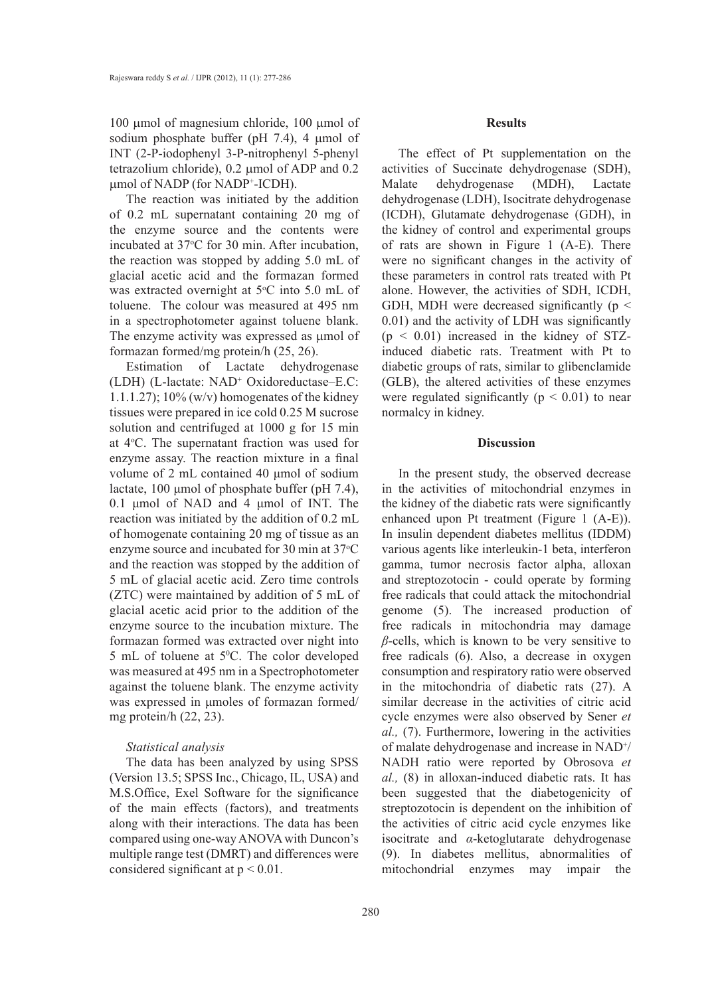100 µmol of magnesium chloride, 100 µmol of sodium phosphate buffer (pH 7.4), 4 µmol of INT (2-P-iodophenyl 3-P-nitrophenyl 5-phenyl tetrazolium chloride), 0.2 µmol of ADP and 0.2 µmol of NADP (for NADP+ -ICDH).

The reaction was initiated by the addition of 0.2 mL supernatant containing 20 mg of the enzyme source and the contents were incubated at  $37^{\circ}$ C for 30 min. After incubation, the reaction was stopped by adding 5.0 mL of glacial acetic acid and the formazan formed was extracted overnight at  $5^{\circ}$ C into  $5.0$  mL of toluene. The colour was measured at 495 nm in a spectrophotometer against toluene blank. The enzyme activity was expressed as  $\mu$ mol of formazan formed/mg protein/h (25, 26).

Estimation of Lactate dehydrogenase (LDH) (L-lactate: NAD<sup>+</sup> Oxidoreductase–E.C: 1.1.1.27);  $10\%$  (w/v) homogenates of the kidney tissues were prepared in ice cold 0.25 M sucrose solution and centrifuged at 1000 g for 15 min at 4°C. The supernatant fraction was used for enzyme assay. The reaction mixture in a final volume of 2 mL contained 40 μmol of sodium lactate, 100 μmol of phosphate buffer (pH 7.4), 0.1 μmol of NAD and 4 μmol of INT. The reaction was initiated by the addition of 0.2 mL of homogenate containing 20 mg of tissue as an enzyme source and incubated for 30 min at  $37^{\circ}$ C and the reaction was stopped by the addition of 5 mL of glacial acetic acid. Zero time controls (ZTC) were maintained by addition of 5 mL of glacial acetic acid prior to the addition of the enzyme source to the incubation mixture. The formazan formed was extracted over night into 5 mL of toluene at 5<sup>o</sup>C. The color developed was measured at 495 nm in a Spectrophotometer against the toluene blank. The enzyme activity was expressed in μmoles of formazan formed/ mg protein/h (22, 23).

#### *Statistical analysis*

The data has been analyzed by using SPSS (Version 13.5; SPSS Inc., Chicago, IL, USA) and M.S.Office, Exel Software for the significance of the main effects (factors), and treatments along with their interactions. The data has been compared using one-way ANOVA with Duncon's multiple range test (DMRT) and differences were considered significant at  $p < 0.01$ .

#### **Results**

The effect of Pt supplementation on the activities of Succinate dehydrogenase (SDH), Malate dehydrogenase (MDH), Lactate dehydrogenase (LDH), Isocitrate dehydrogenase (ICDH), Glutamate dehydrogenase (GDH), in the kidney of control and experimental groups of rats are shown in Figure 1 (A-E). There were no significant changes in the activity of these parameters in control rats treated with Pt alone. However, the activities of SDH, ICDH, GDH, MDH were decreased significantly ( $p \le$ 0.01) and the activity of LDH was significantly  $(p < 0.01)$  increased in the kidney of STZinduced diabetic rats. Treatment with Pt to diabetic groups of rats, similar to glibenclamide (GLB), the altered activities of these enzymes were regulated significantly ( $p < 0.01$ ) to near normalcy in kidney.

#### **Discussion**

In the present study, the observed decrease in the activities of mitochondrial enzymes in the kidney of the diabetic rats were significantly enhanced upon Pt treatment (Figure 1 (A-E)). In insulin dependent diabetes mellitus (IDDM) various agents like interleukin-1 beta, interferon gamma, tumor necrosis factor alpha, alloxan and streptozotocin - could operate by forming free radicals that could attack the mitochondrial genome (5). The increased production of free radicals in mitochondria may damage *β*-cells, which is known to be very sensitive to free radicals (6). Also, a decrease in oxygen consumption and respiratory ratio were observed in the mitochondria of diabetic rats (27). A similar decrease in the activities of citric acid cycle enzymes were also observed by Sener *et al.,* (7). Furthermore, lowering in the activities of malate dehydrogenase and increase in NAD<sup>+</sup>/ NADH ratio were reported by Obrosova *et al.,* (8) in alloxan-induced diabetic rats. It has been suggested that the diabetogenicity of streptozotocin is dependent on the inhibition of the activities of citric acid cycle enzymes like isocitrate and *α*-ketoglutarate dehydrogenase (9). In diabetes mellitus, abnormalities of mitochondrial enzymes may impair the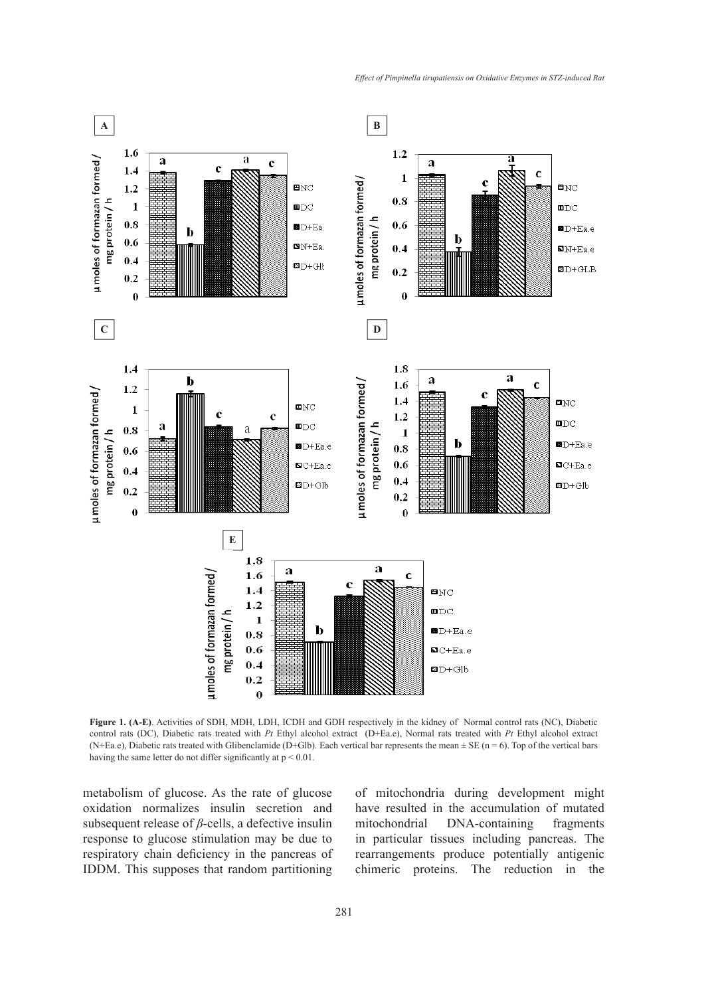

**Figure 1. (A-E)**. Activities of SDH, MDH, LDH, ICDH and GDH respectively in the kidney of Normal control rats (NC), Diabetic control rats (DC), Diabetic rats treated with *Pt* Ethyl alcohol extract (D+Ea.e), Normal rats treated with *Pt* Ethyl alcohol extract (N+Ea.e), Diabetic rats treated with Glibenclamide (D+Glb). Each vertical bar represents the mean  $\pm$  SE (n = 6). Top of the vertical bars having the same letter do not differ significantly at p < 0.01.

metabolism of glucose. As the rate of glucose oxidation normalizes insulin secretion and subsequent release of *β*-cells, a defective insulin response to glucose stimulation may be due to respiratory chain deficiency in the pancreas of IDDM. This supposes that random partitioning of mitochondria during development might have resulted in the accumulation of mutated mitochondrial DNA-containing fragments in particular tissues including pancreas. The rearrangements produce potentially antigenic chimeric proteins. The reduction in the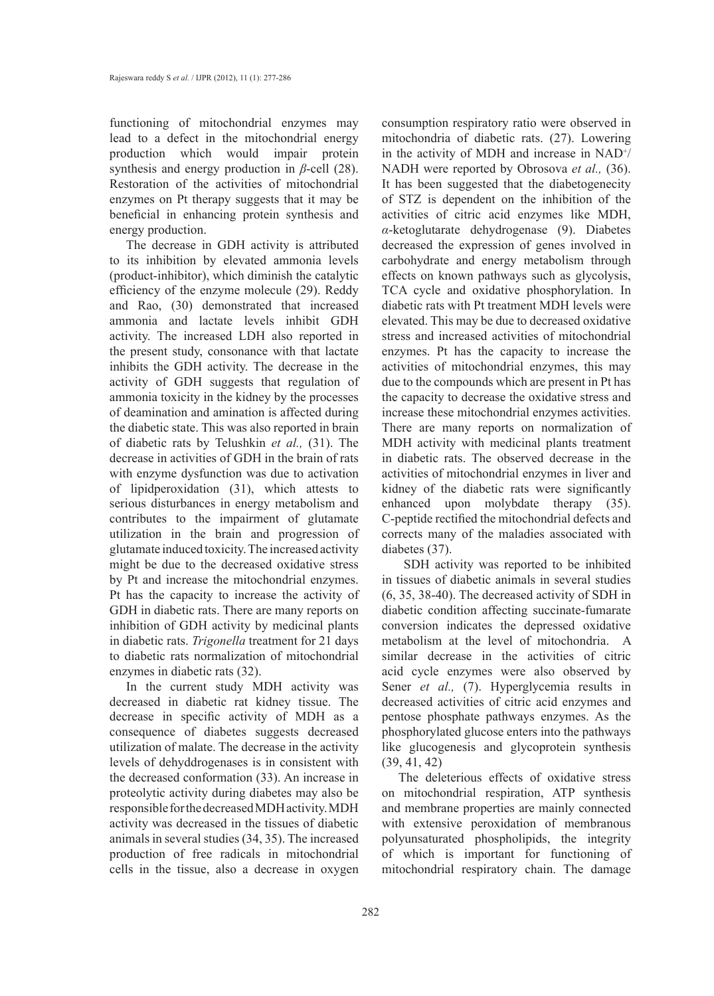functioning of mitochondrial enzymes may lead to a defect in the mitochondrial energy production which would impair protein synthesis and energy production in *β*-cell (28). Restoration of the activities of mitochondrial enzymes on Pt therapy suggests that it may be beneficial in enhancing protein synthesis and energy production.

The decrease in GDH activity is attributed to its inhibition by elevated ammonia levels (product-inhibitor), which diminish the catalytic efficiency of the enzyme molecule (29). Reddy and Rao, (30) demonstrated that increased ammonia and lactate levels inhibit GDH activity. The increased LDH also reported in the present study, consonance with that lactate inhibits the GDH activity. The decrease in the activity of GDH suggests that regulation of ammonia toxicity in the kidney by the processes of deamination and amination is affected during the diabetic state. This was also reported in brain of diabetic rats by Telushkin *et al.,* (31). The decrease in activities of GDH in the brain of rats with enzyme dysfunction was due to activation of lipidperoxidation (31), which attests to serious disturbances in energy metabolism and contributes to the impairment of glutamate utilization in the brain and progression of glutamate induced toxicity. The increased activity might be due to the decreased oxidative stress by Pt and increase the mitochondrial enzymes. Pt has the capacity to increase the activity of GDH in diabetic rats. There are many reports on inhibition of GDH activity by medicinal plants in diabetic rats. *Trigonella* treatment for 21 days to diabetic rats normalization of mitochondrial enzymes in diabetic rats (32).

In the current study MDH activity was decreased in diabetic rat kidney tissue. The decrease in specific activity of MDH as a consequence of diabetes suggests decreased utilization of malate. The decrease in the activity levels of dehyddrogenases is in consistent with the decreased conformation (33). An increase in proteolytic activity during diabetes may also be responsible for the decreased MDH activity. MDH activity was decreased in the tissues of diabetic animals in several studies (34, 35). The increased production of free radicals in mitochondrial cells in the tissue, also a decrease in oxygen consumption respiratory ratio were observed in mitochondria of diabetic rats. (27). Lowering in the activity of MDH and increase in  $NAD^+$ / NADH were reported by Obrosova *et al.,* (36). It has been suggested that the diabetogenecity of STZ is dependent on the inhibition of the activities of citric acid enzymes like MDH, *α*-ketoglutarate dehydrogenase (9). Diabetes decreased the expression of genes involved in carbohydrate and energy metabolism through effects on known pathways such as glycolysis, TCA cycle and oxidative phosphorylation. In diabetic rats with Pt treatment MDH levels were elevated. This may be due to decreased oxidative stress and increased activities of mitochondrial enzymes. Pt has the capacity to increase the activities of mitochondrial enzymes, this may due to the compounds which are present in Pt has the capacity to decrease the oxidative stress and increase these mitochondrial enzymes activities. There are many reports on normalization of MDH activity with medicinal plants treatment in diabetic rats. The observed decrease in the activities of mitochondrial enzymes in liver and kidney of the diabetic rats were significantly enhanced upon molybdate therapy (35). C-peptide rectified the mitochondrial defects and corrects many of the maladies associated with diabetes (37).

 SDH activity was reported to be inhibited in tissues of diabetic animals in several studies (6, 35, 38-40). The decreased activity of SDH in diabetic condition affecting succinate-fumarate conversion indicates the depressed oxidative metabolism at the level of mitochondria. A similar decrease in the activities of citric acid cycle enzymes were also observed by Sener *et al.,* (7). Hyperglycemia results in decreased activities of citric acid enzymes and pentose phosphate pathways enzymes. As the phosphorylated glucose enters into the pathways like glucogenesis and glycoprotein synthesis (39, 41, 42)

The deleterious effects of oxidative stress on mitochondrial respiration, ATP synthesis and membrane properties are mainly connected with extensive peroxidation of membranous polyunsaturated phospholipids, the integrity of which is important for functioning of mitochondrial respiratory chain. The damage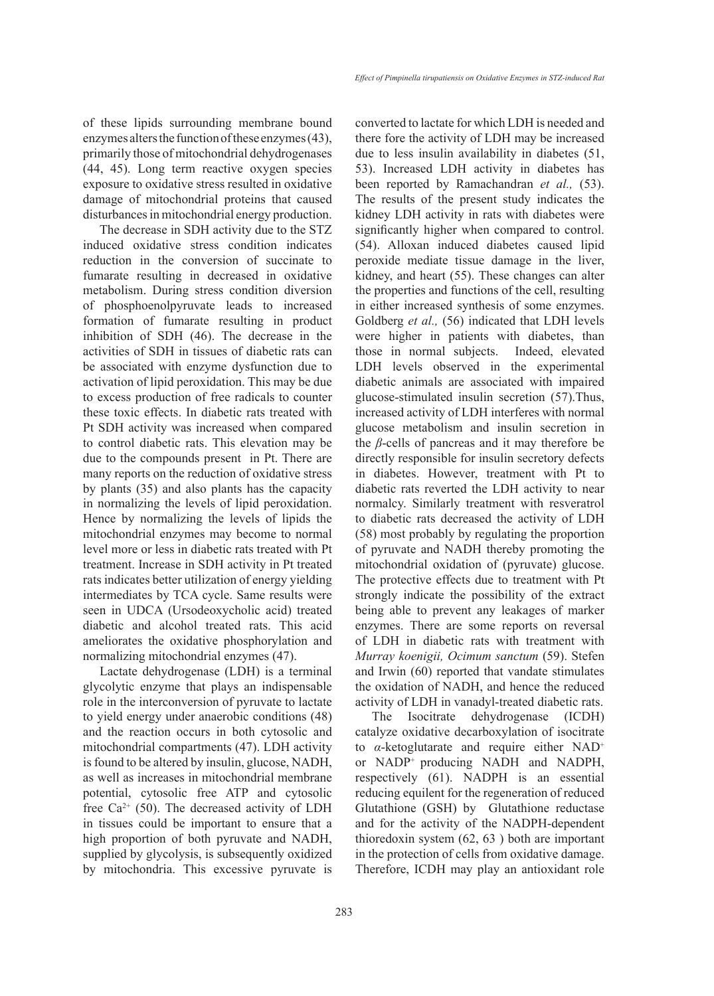of these lipids surrounding membrane bound enzymes alters the function of these enzymes (43), primarily those of mitochondrial dehydrogenases (44, 45). Long term reactive oxygen species exposure to oxidative stress resulted in oxidative damage of mitochondrial proteins that caused disturbances in mitochondrial energy production.

The decrease in SDH activity due to the STZ induced oxidative stress condition indicates reduction in the conversion of succinate to fumarate resulting in decreased in oxidative metabolism. During stress condition diversion of phosphoenolpyruvate leads to increased formation of fumarate resulting in product inhibition of SDH (46). The decrease in the activities of SDH in tissues of diabetic rats can be associated with enzyme dysfunction due to activation of lipid peroxidation. This may be due to excess production of free radicals to counter these toxic effects. In diabetic rats treated with Pt SDH activity was increased when compared to control diabetic rats. This elevation may be due to the compounds present in Pt. There are many reports on the reduction of oxidative stress by plants (35) and also plants has the capacity in normalizing the levels of lipid peroxidation. Hence by normalizing the levels of lipids the mitochondrial enzymes may become to normal level more or less in diabetic rats treated with Pt treatment. Increase in SDH activity in Pt treated rats indicates better utilization of energy yielding intermediates by TCA cycle. Same results were seen in UDCA (Ursodeoxycholic acid) treated diabetic and alcohol treated rats. This acid ameliorates the oxidative phosphorylation and normalizing mitochondrial enzymes (47).

Lactate dehydrogenase (LDH) is a terminal glycolytic enzyme that plays an indispensable role in the interconversion of pyruvate to lactate to yield energy under anaerobic conditions (48) and the reaction occurs in both cytosolic and mitochondrial compartments (47). LDH activity is found to be altered by insulin, glucose, NADH, as well as increases in mitochondrial membrane potential, cytosolic free ATP and cytosolic free  $Ca^{2+}$  (50). The decreased activity of LDH in tissues could be important to ensure that a high proportion of both pyruvate and NADH, supplied by glycolysis, is subsequently oxidized by mitochondria. This excessive pyruvate is converted to lactate for which LDH is needed and there fore the activity of LDH may be increased due to less insulin availability in diabetes (51, 53). Increased LDH activity in diabetes has been reported by Ramachandran *et al.,* (53). The results of the present study indicates the kidney LDH activity in rats with diabetes were significantly higher when compared to control. (54). Alloxan induced diabetes caused lipid peroxide mediate tissue damage in the liver, kidney, and heart (55). These changes can alter the properties and functions of the cell, resulting in either increased synthesis of some enzymes. Goldberg *et al.,* (56) indicated that LDH levels were higher in patients with diabetes, than those in normal subjects. Indeed, elevated LDH levels observed in the experimental diabetic animals are associated with impaired glucose-stimulated insulin secretion (57).Thus, increased activity of LDH interferes with normal glucose metabolism and insulin secretion in the *β*-cells of pancreas and it may therefore be directly responsible for insulin secretory defects in diabetes. However, treatment with Pt to diabetic rats reverted the LDH activity to near normalcy. Similarly treatment with resveratrol to diabetic rats decreased the activity of LDH (58) most probably by regulating the proportion of pyruvate and NADH thereby promoting the mitochondrial oxidation of (pyruvate) glucose. The protective effects due to treatment with Pt strongly indicate the possibility of the extract being able to prevent any leakages of marker enzymes. There are some reports on reversal of LDH in diabetic rats with treatment with *Murray koenigii, Ocimum sanctum* (59). Stefen and Irwin (60) reported that vandate stimulates the oxidation of NADH, and hence the reduced activity of LDH in vanadyl-treated diabetic rats.

The Isocitrate dehydrogenase (ICDH) catalyze oxidative decarboxylation of isocitrate to *α*-ketoglutarate and require either NAD<sup>+</sup> or NADP+ producing NADH and NADPH, respectively (61). NADPH is an essential reducing equilent for the regeneration of reduced Glutathione (GSH) by Glutathione reductase and for the activity of the NADPH-dependent thioredoxin system (62, 63 ) both are important in the protection of cells from oxidative damage. Therefore, ICDH may play an antioxidant role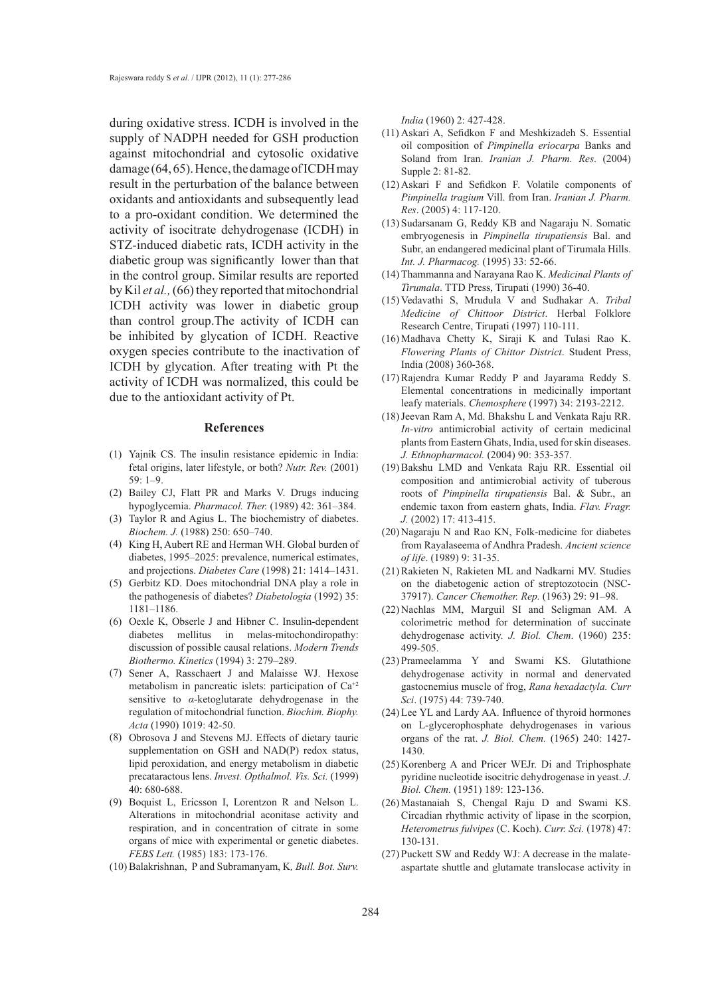during oxidative stress. ICDH is involved in the supply of NADPH needed for GSH production against mitochondrial and cytosolic oxidative damage (64, 65). Hence, the damage of ICDH may result in the perturbation of the balance between oxidants and antioxidants and subsequently lead to a pro-oxidant condition. We determined the activity of isocitrate dehydrogenase (ICDH) in STZ-induced diabetic rats, ICDH activity in the diabetic group was significantly lower than that in the control group. Similar results are reported by Kil *et al.,* (66) they reported that mitochondrial ICDH activity was lower in diabetic group than control group.The activity of ICDH can be inhibited by glycation of ICDH. Reactive oxygen species contribute to the inactivation of ICDH by glycation. After treating with Pt the activity of ICDH was normalized, this could be due to the antioxidant activity of Pt.

#### **References**

- (1) Yajnik CS. The insulin resistance epidemic in India: fetal origins, later lifestyle, or both? *Nutr. Rev.* (2001) 59: 1–9.
- Bailey CJ, Flatt PR and Marks V. Drugs inducing (2) hypoglycemia. *Pharmacol. Ther.* (1989) 42: 361–384.
- (3) Taylor R and Agius L. The biochemistry of diabetes. *Biochem. J.* (1988) 250: 650–740.
- (4) King H, Aubert RE and Herman WH. Global burden of diabetes, 1995–2025: prevalence, numerical estimates, and projections. *Diabetes Care* (1998) 21: 1414–1431.
- (5) Gerbitz KD. Does mitochondrial DNA play a role in the pathogenesis of diabetes? *Diabetologia* (1992) 35: 1181–1186.
- $(6)$  Oexle K, Obserle J and Hibner C. Insulin-dependent diabetes mellitus in melas-mitochondiropathy: discussion of possible causal relations. *Modern Trends Biothermo. Kinetics* (1994) 3: 279–289.
- (7) Sener A, Rasschaert J and Malaisse WJ. Hexose metabolism in pancreatic islets: participation of Ca+2 sensitive to *α*-ketoglutarate dehydrogenase in the regulation of mitochondrial function. *Biochim. Biophy. Acta* (1990) 1019: 42-50.
- Obrosova J and Stevens MJ. Effects of dietary tauric (8) supplementation on GSH and NAD(P) redox status, lipid peroxidation, and energy metabolism in diabetic precataractous lens. *Invest. Opthalmol. Vis. Sci.* (1999) 40: 680-688.
- Boquist L, Ericsson I, Lorentzon R and Nelson L. (9) Alterations in mitochondrial aconitase activity and respiration, and in concentration of citrate in some organs of mice with experimental or genetic diabetes. *FEBS Lett.* (1985) 183: 173-176.
- Balakrishnan, P and Subramanyam, K*, Bull. Bot. Surv.*  (10)

*India* (1960) 2: 427-428.

- (11) Askari A, Sefidkon F and Meshkizadeh S. Essential oil composition of *Pimpinella eriocarpa* Banks and Soland from Iran. *Iranian J. Pharm. Res*. (2004) Supple 2: 81-82.
- $(12)$  Askari F and Sefidkon F. Volatile components of *Pimpinella tragium* Vill. from Iran. *Iranian J. Pharm. Res*. (2005) 4: 117-120.
- (13) Sudarsanam G, Reddy KB and Nagaraju N. Somatic embryogenesis in *Pimpinella tirupatiensis* Bal. and Subr, an endangered medicinal plant of Tirumala Hills. *Int. J. Pharmacog.* (1995) 33: 52-66.
- Thammanna and Narayana Rao K. *Medicinal Plants of*  (14) *Tirumala*. TTD Press, Tirupati (1990) 36-40.
- Vedavathi S, Mrudula V and Sudhakar A. *Tribal*  (15) *Medicine of Chittoor District*. Herbal Folklore Research Centre, Tirupati (1997) 110-111.
- $(16)$ Madhava Chetty K, Siraji K and Tulasi Rao K. *Flowering Plants of Chittor District*. Student Press, India (2008) 360-368.
- $(17)$  Rajendra Kumar Reddy P and Jayarama Reddy S. Elemental concentrations in medicinally important leafy materials. *Chemosphere* (1997) 34: 2193-2212.
- (18) Jeevan Ram A, Md. Bhakshu L and Venkata Raju RR. *In-vitro* antimicrobial activity of certain medicinal plants from Eastern Ghats, India, used for skin diseases. *J. Ethnopharmacol.* (2004) 90: 353-357.
- (19) Bakshu LMD and Venkata Raju RR. Essential oil composition and antimicrobial activity of tuberous roots of *Pimpinella tirupatiensis* Bal. & Subr., an endemic taxon from eastern ghats, India. *Flav. Fragr. J.* (2002) 17: 413-415.
- $(20)$  Nagaraju N and Rao KN, Folk-medicine for diabetes from Rayalaseema of Andhra Pradesh. *Ancient science of life*. (1989) 9: 31-35.
- (21) Rakieten N, Rakieten ML and Nadkarni MV. Studies on the diabetogenic action of streptozotocin (NSC-37917). *Cancer Chemother. Rep.* (1963) 29: 91–98.
- (22) Nachlas MM, Marguil SI and Seligman AM. A colorimetric method for determination of succinate dehydrogenase activity. *J. Biol. Chem*. (1960) 235: 499-505.
- (23) Prameelamma Y and Swami KS. Glutathione dehydrogenase activity in normal and denervated gastocnemius muscle of frog, *Rana hexadactyla. Curr Sci*. (1975) 44: 739-740.
- (24) Lee YL and Lardy AA. Influence of thyroid hormones on L-glycerophosphate dehydrogenases in various organs of the rat. *J. Biol. Chem.* (1965) 240: 1427- 1430.
- $(25)$  Korenberg A and Pricer WEJr. Di and Triphosphate pyridine nucleotide isocitric dehydrogenase in yeast. *J. Biol. Chem.* (1951) 189: 123-136.
- $(26)$ Mastanaiah S, Chengal Raju D and Swami KS. Circadian rhythmic activity of lipase in the scorpion, *Heterometrus fulvipes* (C. Koch). *Curr. Sci.* (1978) 47: 130-131.
- $(27)$  Puckett SW and Reddy WJ: A decrease in the malateaspartate shuttle and glutamate translocase activity in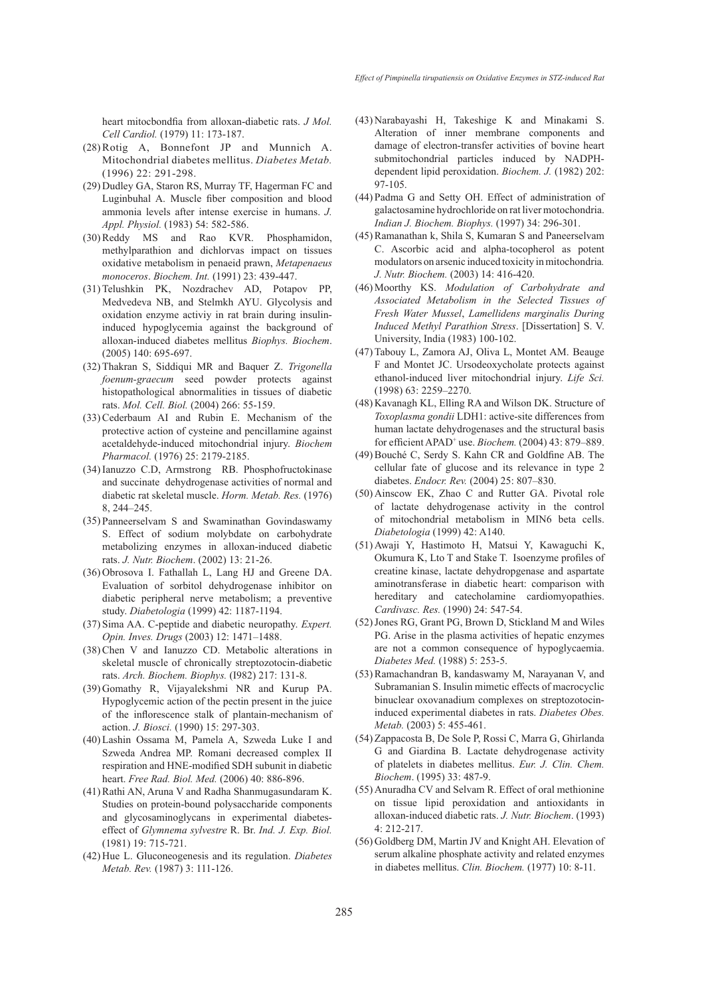heart mitocbondfia from alloxan-diabetic rats. *J Mol. Cell Cardiol.* (1979) 11: 173-187.

- $(28)$  Rotig A, Bonnefont JP and Munnich A. Mitochondrial diabetes mellitus. *Diabetes Metab.* (1996) 22: 291-298.
- (29) Dudley GA, Staron RS, Murray TF, Hagerman FC and Luginbuhal A. Muscle fiber composition and blood ammonia levels after intense exercise in humans. *J. Appl. Physiol.* (1983) 54: 582-586.
- (30) Reddy MS and Rao KVR. Phosphamidon, methylparathion and dichlorvas impact on tissues oxidative metabolism in penaeid prawn, *Metapenaeus monoceros*. *Biochem. Int.* (1991) 23: 439-447.
- (31) Telushkin PK, Nozdrachev AD, Potapov PP, Medvedeva NB, and Stelmkh AYU. Glycolysis and oxidation enzyme activiy in rat brain during insulininduced hypoglycemia against the background of alloxan-induced diabetes mellitus *Biophys. Biochem*. (2005) 140: 695-697.
- Thakran S, Siddiqui MR and Baquer Z. *Trigonella*  (32) *foenum-graecum* seed powder protects against histopathological abnormalities in tissues of diabetic rats. *Mol. Cell. Biol.* (2004) 266: 55-159.
- $(33)$  Cederbaum AI and Rubin E. Mechanism of the protective action of cysteine and pencillamine against acetaldehyde-induced mitochondrial injury. *Biochem Pharmacol.* (1976) 25: 2179-2185.
- (34) Ianuzzo C.D, Armstrong RB. Phosphofructokinase and succinate dehydrogenase activities of normal and diabetic rat skeletal muscle. *Horm. Metab. Res.* (1976) 8, 244–245.
- Panneerselvam S and Swaminathan Govindaswamy (35) S. Effect of sodium molybdate on carbohydrate metabolizing enzymes in alloxan-induced diabetic rats. *J. Nutr. Biochem*. (2002) 13: 21-26.
- (36) Obrosova I. Fathallah L, Lang HJ and Greene DA. Evaluation of sorbitol dehydrogenase inhibitor on diabetic peripheral nerve metabolism; a preventive study. *Diabetologia* (1999) 42: 1187-1194.
- (37) Sima AA. C-peptide and diabetic neuropathy. *Expert*. *Opin. Inves. Drugs* (2003) 12: 1471–1488.
- $(38)$  Chen V and Ianuzzo CD. Metabolic alterations in skeletal muscle of chronically streptozotocin-diabetic rats. *Arch. Biochem. Biophys.* (I982) 217: 131-8.
- (39) Gomathy R, Vijayalekshmi NR and Kurup PA. Hypoglycemic action of the pectin present in the juice of the inflorescence stalk of plantain-mechanism of action. *J. Biosci.* (1990) 15: 297-303.
- Lashin Ossama M, Pamela A, Szweda Luke I and (40) Szweda Andrea MP. Romani decreased complex II respiration and HNE-modified SDH subunit in diabetic heart. *Free Rad. Biol. Med.* (2006) 40: 886-896.
- (41) Rathi AN, Aruna V and Radha Shanmugasundaram K. Studies on protein-bound polysaccharide components and glycosaminoglycans in experimental diabeteseffect of *Glymnema sylvestre* R. Br. *Ind. J. Exp. Biol.* (1981) 19: 715-721.
- (42) Hue L. Gluconeogenesis and its regulation. *Diabetes Metab. Rev.* (1987) 3: 111-126.
- Narabayashi H, Takeshige K and Minakami S. (43) Alteration of inner membrane components and damage of electron-transfer activities of bovine heart submitochondrial particles induced by NADPHdependent lipid peroxidation. *Biochem. J.* (1982) 202: 97-105.
- Padma G and Setty OH. Effect of administration of (44) galactosamine hydrochloride on rat liver motochondria. *Indian J. Biochem. Biophys.* (1997) 34: 296-301.
- (45) Ramanathan k, Shila S, Kumaran S and Paneerselvam C. Ascorbic acid and alpha-tocopherol as potent modulators on arsenic induced toxicity in mitochondria*. J. Nutr. Biochem.* (2003) 14: 416-420.
- Moorthy KS. *Modulation of Carbohydrate and*  (46) *Associated Metabolism in the Selected Tissues of Fresh Water Mussel*, *Lamellidens marginalis During Induced Methyl Parathion Stress*. [Dissertation] S. V. University, India (1983) 100-102.
- (47) Tabouy L, Zamora AJ, Oliva L, Montet AM. Beauge F and Montet JC. Ursodeoxycholate protects against ethanol-induced liver mitochondrial injury. *Life Sci.*  (1998) 63: 2259–2270.
- (48) Kavanagh KL, Elling RA and Wilson DK. Structure of *Toxoplasma gondii* LDH1: active-site differences from human lactate dehydrogenases and the structural basis for efficient APAD<sup>+</sup> use. *Biochem.* (2004) 43: 879–889.
- (49) Bouché C, Serdy S. Kahn CR and Goldfine AB. The cellular fate of glucose and its relevance in type 2 diabetes. *Endocr. Rev.* (2004) 25: 807–830.
- $(50)$  Ainscow EK, Zhao C and Rutter GA. Pivotal role of lactate dehydrogenase activity in the control of mitochondrial metabolism in MIN6 beta cells. *Diabetologia* (1999) 42: A140.
- (51) Awaji Y, Hastimoto H, Matsui Y, Kawaguchi K, Okumura K, Lto T and Stake T. Isoenzyme profiles of creatine kinase, lactate dehydropgenase and aspartate aminotransferase in diabetic heart: comparison with hereditary and catecholamine cardiomyopathies. *Cardivasc. Res.* (1990) 24: 547-54.
- (52) Jones RG, Grant PG, Brown D, Stickland M and Wiles PG. Arise in the plasma activities of hepatic enzymes are not a common consequence of hypoglycaemia. *Diabetes Med.* (1988) 5: 253-5.
- (53) Ramachandran B, kandaswamy M, Narayanan V, and Subramanian S. Insulin mimetic effects of macrocyclic binuclear oxovanadium complexes on streptozotocininduced experimental diabetes in rats. *Diabetes Obes. Metab.* (2003) 5: 455-461.
- (54) Zappacosta B, De Sole P, Rossi C, Marra G, Ghirlanda G and Giardina B. Lactate dehydrogenase activity of platelets in diabetes mellitus. *Eur. J. Clin. Chem. Biochem*. (1995) 33: 487-9.
- (55) Anuradha CV and Selvam R. Effect of oral methionine on tissue lipid peroxidation and antioxidants in alloxan-induced diabetic rats. *J. Nutr. Biochem*. (1993) 4: 212-217.
- (56) Goldberg DM, Martin JV and Knight AH. Elevation of serum alkaline phosphate activity and related enzymes in diabetes mellitus. *Clin. Biochem.* (1977) 10: 8-11.